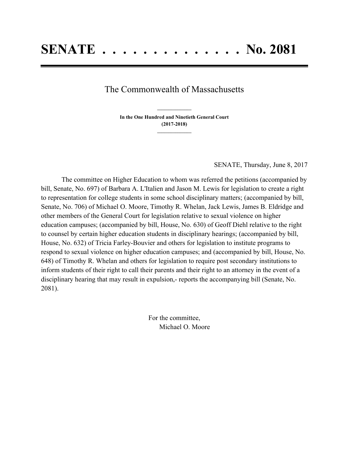## The Commonwealth of Massachusetts

**In the One Hundred and Ninetieth General Court (2017-2018) \_\_\_\_\_\_\_\_\_\_\_\_\_\_\_**

**\_\_\_\_\_\_\_\_\_\_\_\_\_\_\_**

SENATE, Thursday, June 8, 2017

The committee on Higher Education to whom was referred the petitions (accompanied by bill, Senate, No. 697) of Barbara A. L'Italien and Jason M. Lewis for legislation to create a right to representation for college students in some school disciplinary matters; (accompanied by bill, Senate, No. 706) of Michael O. Moore, Timothy R. Whelan, Jack Lewis, James B. Eldridge and other members of the General Court for legislation relative to sexual violence on higher education campuses; (accompanied by bill, House, No. 630) of Geoff Diehl relative to the right to counsel by certain higher education students in disciplinary hearings; (accompanied by bill, House, No. 632) of Tricia Farley-Bouvier and others for legislation to institute programs to respond to sexual violence on higher education campuses; and (accompanied by bill, House, No. 648) of Timothy R. Whelan and others for legislation to require post secondary institutions to inform students of their right to call their parents and their right to an attorney in the event of a disciplinary hearing that may result in expulsion,- reports the accompanying bill (Senate, No. 2081).

> For the committee, Michael O. Moore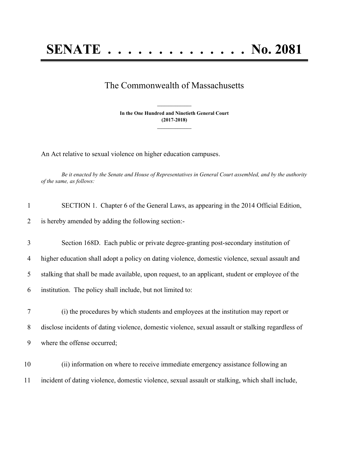## **SENATE . . . . . . . . . . . . . . No. 2081**

## The Commonwealth of Massachusetts

**In the One Hundred and Ninetieth General Court (2017-2018) \_\_\_\_\_\_\_\_\_\_\_\_\_\_\_**

**\_\_\_\_\_\_\_\_\_\_\_\_\_\_\_**

An Act relative to sexual violence on higher education campuses.

Be it enacted by the Senate and House of Representatives in General Court assembled, and by the authority *of the same, as follows:*

| $\mathbf{1}$ | SECTION 1. Chapter 6 of the General Laws, as appearing in the 2014 Official Edition,               |
|--------------|----------------------------------------------------------------------------------------------------|
| 2            | is hereby amended by adding the following section:-                                                |
| 3            | Section 168D. Each public or private degree-granting post-secondary institution of                 |
| 4            | higher education shall adopt a policy on dating violence, domestic violence, sexual assault and    |
| 5            | stalking that shall be made available, upon request, to an applicant, student or employee of the   |
| 6            | institution. The policy shall include, but not limited to:                                         |
| 7            | (i) the procedures by which students and employees at the institution may report or                |
| 8            | disclose incidents of dating violence, domestic violence, sexual assault or stalking regardless of |
| 9            | where the offense occurred;                                                                        |
| 10           | (ii) information on where to receive immediate emergency assistance following an                   |
| 11           | incident of dating violence, domestic violence, sexual assault or stalking, which shall include,   |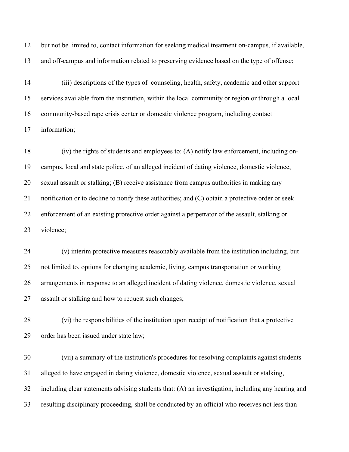but not be limited to, contact information for seeking medical treatment on-campus, if available, and off-campus and information related to preserving evidence based on the type of offense;

 (iii) descriptions of the types of counseling, health, safety, academic and other support services available from the institution, within the local community or region or through a local community-based rape crisis center or domestic violence program, including contact information;

 (iv) the rights of students and employees to: (A) notify law enforcement, including on- campus, local and state police, of an alleged incident of dating violence, domestic violence, sexual assault or stalking; (B) receive assistance from campus authorities in making any notification or to decline to notify these authorities; and (C) obtain a protective order or seek enforcement of an existing protective order against a perpetrator of the assault, stalking or violence;

 (v) interim protective measures reasonably available from the institution including, but not limited to, options for changing academic, living, campus transportation or working arrangements in response to an alleged incident of dating violence, domestic violence, sexual assault or stalking and how to request such changes;

 (vi) the responsibilities of the institution upon receipt of notification that a protective order has been issued under state law;

 (vii) a summary of the institution's procedures for resolving complaints against students alleged to have engaged in dating violence, domestic violence, sexual assault or stalking, including clear statements advising students that: (A) an investigation, including any hearing and resulting disciplinary proceeding, shall be conducted by an official who receives not less than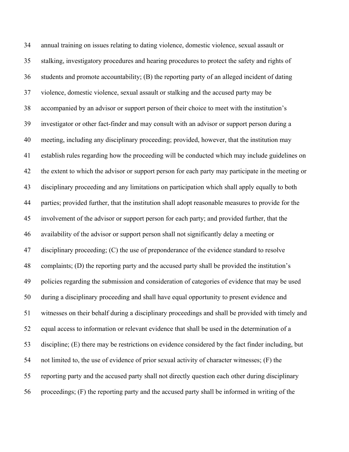annual training on issues relating to dating violence, domestic violence, sexual assault or stalking, investigatory procedures and hearing procedures to protect the safety and rights of students and promote accountability; (B) the reporting party of an alleged incident of dating violence, domestic violence, sexual assault or stalking and the accused party may be accompanied by an advisor or support person of their choice to meet with the institution's investigator or other fact-finder and may consult with an advisor or support person during a meeting, including any disciplinary proceeding; provided, however, that the institution may establish rules regarding how the proceeding will be conducted which may include guidelines on the extent to which the advisor or support person for each party may participate in the meeting or disciplinary proceeding and any limitations on participation which shall apply equally to both parties; provided further, that the institution shall adopt reasonable measures to provide for the involvement of the advisor or support person for each party; and provided further, that the availability of the advisor or support person shall not significantly delay a meeting or 47 disciplinary proceeding; (C) the use of preponderance of the evidence standard to resolve complaints; (D) the reporting party and the accused party shall be provided the institution's policies regarding the submission and consideration of categories of evidence that may be used during a disciplinary proceeding and shall have equal opportunity to present evidence and witnesses on their behalf during a disciplinary proceedings and shall be provided with timely and equal access to information or relevant evidence that shall be used in the determination of a discipline; (E) there may be restrictions on evidence considered by the fact finder including, but not limited to, the use of evidence of prior sexual activity of character witnesses; (F) the reporting party and the accused party shall not directly question each other during disciplinary proceedings; (F) the reporting party and the accused party shall be informed in writing of the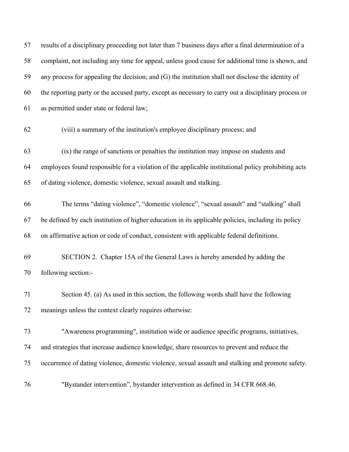| 57 | results of a disciplinary proceeding not later than 7 business days after a final determination of a |
|----|------------------------------------------------------------------------------------------------------|
| 58 | complaint, not including any time for appeal, unless good cause for additional time is shown, and    |
| 59 | any process for appealing the decision; and (G) the institution shall not disclose the identity of   |
| 60 | the reporting party or the accused party, except as necessary to carry out a disciplinary process or |
| 61 | as permitted under state or federal law;                                                             |
| 62 | (viii) a summary of the institution's employee disciplinary process; and                             |
| 63 | (ix) the range of sanctions or penalties the institution may impose on students and                  |
| 64 | employees found responsible for a violation of the applicable institutional policy prohibiting acts  |
| 65 | of dating violence, domestic violence, sexual assault and stalking.                                  |
| 66 | The terms "dating violence", "domestic violence", "sexual assault" and "stalking" shall              |
| 67 | be defined by each institution of higher education in its applicable policies, including its policy  |
| 68 | on affirmative action or code of conduct, consistent with applicable federal definitions.            |
| 69 | SECTION 2. Chapter 15A of the General Laws is hereby amended by adding the                           |
| 70 | following section:-                                                                                  |
| 71 | Section 45. (a) As used in this section, the following words shall have the following                |
| 72 | meanings unless the context clearly requires otherwise:                                              |
| 73 | "Awareness programming", institution wide or audience specific programs, initiatives,                |
| 74 | and strategies that increase audience knowledge, share resources to prevent and reduce the           |
| 75 | occurrence of dating violence, domestic violence, sexual assault and stalking and promote safety.    |
| 76 | "Bystander intervention", bystander intervention as defined in 34 CFR 668.46.                        |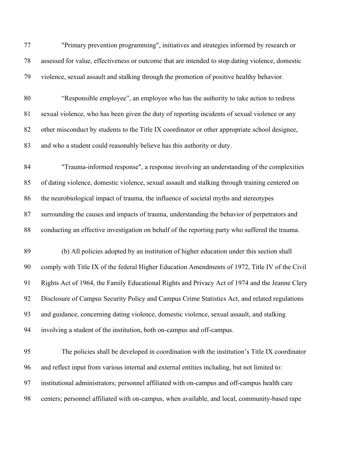| 77 | "Primary prevention programming", initiatives and strategies informed by research or             |
|----|--------------------------------------------------------------------------------------------------|
| 78 | assessed for value, effectiveness or outcome that are intended to stop dating violence, domestic |
| 79 | violence, sexual assault and stalking through the promotion of positive healthy behavior.        |
| 80 | "Responsible employee", an employee who has the authority to take action to redress              |
| 81 | sexual violence, who has been given the duty of reporting incidents of sexual violence or any    |
| 82 | other misconduct by students to the Title IX coordinator or other appropriate school designee,   |
| 83 | and who a student could reasonably believe has this authority or duty.                           |
| 84 | "Trauma-informed response", a response involving an understanding of the complexities            |
| 85 | of dating violence, domestic violence, sexual assault and stalking through training centered on  |
| 86 | the neurobiological impact of trauma, the influence of societal myths and stereotypes            |
| 87 | surrounding the causes and impacts of trauma, understanding the behavior of perpetrators and     |
| 88 | conducting an effective investigation on behalf of the reporting party who suffered the trauma.  |
| 89 | (b) All policies adopted by an institution of higher education under this section shall          |
| 90 | comply with Title IX of the federal Higher Education Amendments of 1972, Title IV of the Civil   |
| 91 | Rights Act of 1964, the Family Educational Rights and Privacy Act of 1974 and the Jeanne Clery   |
| 92 | Disclosure of Campus Security Policy and Campus Crime Statistics Act, and related regulations    |
| 93 | and guidance, concerning dating violence, domestic violence, sexual assault, and stalking        |
| 94 | involving a student of the institution, both on-campus and off-campus.                           |
| 95 | The policies shall be developed in coordination with the institution's Title IX coordinator      |
| 96 | and reflect input from various internal and external entities including, but not limited to:     |
| 97 | institutional administrators; personnel affiliated with on-campus and off-campus health care     |
| 98 | centers; personnel affiliated with on-campus, when available, and local, community-based rape    |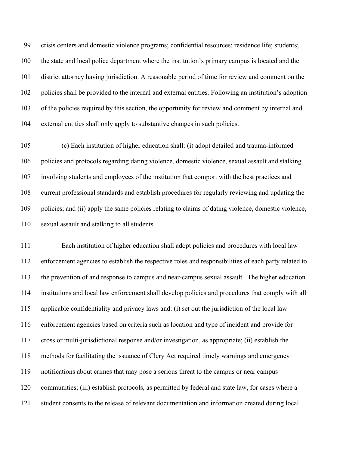crisis centers and domestic violence programs; confidential resources; residence life; students; the state and local police department where the institution's primary campus is located and the district attorney having jurisdiction. A reasonable period of time for review and comment on the policies shall be provided to the internal and external entities. Following an institution's adoption of the policies required by this section, the opportunity for review and comment by internal and external entities shall only apply to substantive changes in such policies.

 (c) Each institution of higher education shall: (i) adopt detailed and trauma-informed policies and protocols regarding dating violence, domestic violence, sexual assault and stalking involving students and employees of the institution that comport with the best practices and current professional standards and establish procedures for regularly reviewing and updating the policies; and (ii) apply the same policies relating to claims of dating violence, domestic violence, sexual assault and stalking to all students.

 Each institution of higher education shall adopt policies and procedures with local law enforcement agencies to establish the respective roles and responsibilities of each party related to the prevention of and response to campus and near-campus sexual assault. The higher education institutions and local law enforcement shall develop policies and procedures that comply with all applicable confidentiality and privacy laws and: (i) set out the jurisdiction of the local law enforcement agencies based on criteria such as location and type of incident and provide for cross or multi-jurisdictional response and/or investigation, as appropriate; (ii) establish the methods for facilitating the issuance of Clery Act required timely warnings and emergency notifications about crimes that may pose a serious threat to the campus or near campus communities; (iii) establish protocols, as permitted by federal and state law, for cases where a student consents to the release of relevant documentation and information created during local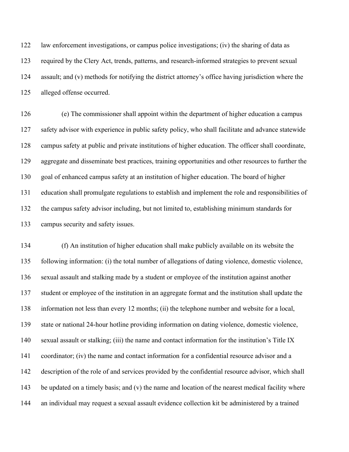law enforcement investigations, or campus police investigations; (iv) the sharing of data as required by the Clery Act, trends, patterns, and research-informed strategies to prevent sexual assault; and (v) methods for notifying the district attorney's office having jurisdiction where the alleged offense occurred.

 (e) The commissioner shall appoint within the department of higher education a campus safety advisor with experience in public safety policy, who shall facilitate and advance statewide campus safety at public and private institutions of higher education. The officer shall coordinate, aggregate and disseminate best practices, training opportunities and other resources to further the goal of enhanced campus safety at an institution of higher education. The board of higher education shall promulgate regulations to establish and implement the role and responsibilities of the campus safety advisor including, but not limited to, establishing minimum standards for campus security and safety issues.

 (f) An institution of higher education shall make publicly available on its website the following information: (i) the total number of allegations of dating violence, domestic violence, sexual assault and stalking made by a student or employee of the institution against another student or employee of the institution in an aggregate format and the institution shall update the information not less than every 12 months; (ii) the telephone number and website for a local, state or national 24-hour hotline providing information on dating violence, domestic violence, sexual assault or stalking; (iii) the name and contact information for the institution's Title IX coordinator; (iv) the name and contact information for a confidential resource advisor and a description of the role of and services provided by the confidential resource advisor, which shall 143 be updated on a timely basis; and (v) the name and location of the nearest medical facility where an individual may request a sexual assault evidence collection kit be administered by a trained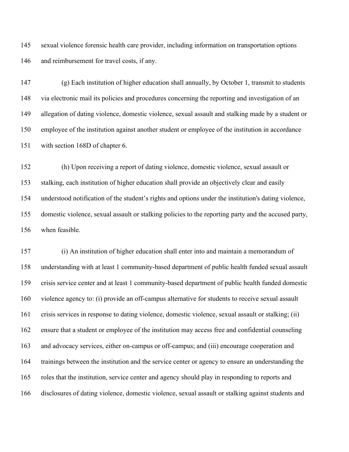sexual violence forensic health care provider, including information on transportation options and reimbursement for travel costs, if any.

 (g) Each institution of higher education shall annually, by October 1, transmit to students via electronic mail its policies and procedures concerning the reporting and investigation of an allegation of dating violence, domestic violence, sexual assault and stalking made by a student or employee of the institution against another student or employee of the institution in accordance with section 168D of chapter 6.

 (h) Upon receiving a report of dating violence, domestic violence, sexual assault or stalking, each institution of higher education shall provide an objectively clear and easily understood notification of the student's rights and options under the institution's dating violence, domestic violence, sexual assault or stalking policies to the reporting party and the accused party, when feasible.

 (i) An institution of higher education shall enter into and maintain a memorandum of understanding with at least 1 community-based department of public health funded sexual assault crisis service center and at least 1 community-based department of public health funded domestic violence agency to: (i) provide an off-campus alternative for students to receive sexual assault crisis services in response to dating violence, domestic violence, sexual assault or stalking; (ii) ensure that a student or employee of the institution may access free and confidential counseling and advocacy services, either on-campus or off-campus; and (iii) encourage cooperation and trainings between the institution and the service center or agency to ensure an understanding the roles that the institution, service center and agency should play in responding to reports and disclosures of dating violence, domestic violence, sexual assault or stalking against students and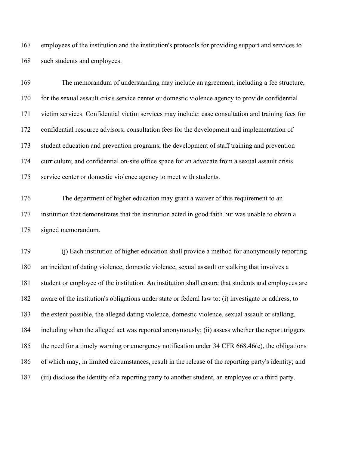employees of the institution and the institution's protocols for providing support and services to such students and employees.

 The memorandum of understanding may include an agreement, including a fee structure, for the sexual assault crisis service center or domestic violence agency to provide confidential victim services. Confidential victim services may include: case consultation and training fees for confidential resource advisors; consultation fees for the development and implementation of student education and prevention programs; the development of staff training and prevention curriculum; and confidential on-site office space for an advocate from a sexual assault crisis service center or domestic violence agency to meet with students.

 The department of higher education may grant a waiver of this requirement to an institution that demonstrates that the institution acted in good faith but was unable to obtain a signed memorandum.

 (j) Each institution of higher education shall provide a method for anonymously reporting an incident of dating violence, domestic violence, sexual assault or stalking that involves a student or employee of the institution. An institution shall ensure that students and employees are aware of the institution's obligations under state or federal law to: (i) investigate or address, to the extent possible, the alleged dating violence, domestic violence, sexual assault or stalking, including when the alleged act was reported anonymously; (ii) assess whether the report triggers the need for a timely warning or emergency notification under 34 CFR 668.46(e), the obligations of which may, in limited circumstances, result in the release of the reporting party's identity; and (iii) disclose the identity of a reporting party to another student, an employee or a third party.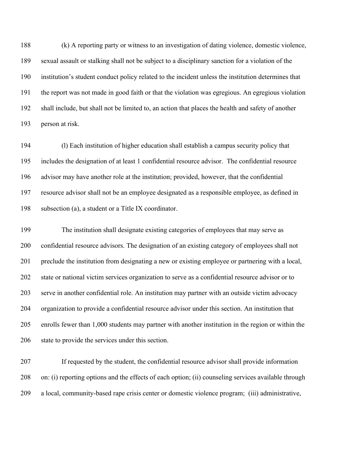(k) A reporting party or witness to an investigation of dating violence, domestic violence, sexual assault or stalking shall not be subject to a disciplinary sanction for a violation of the institution's student conduct policy related to the incident unless the institution determines that the report was not made in good faith or that the violation was egregious. An egregious violation shall include, but shall not be limited to, an action that places the health and safety of another person at risk.

 (l) Each institution of higher education shall establish a campus security policy that includes the designation of at least 1 confidential resource advisor. The confidential resource advisor may have another role at the institution; provided, however, that the confidential resource advisor shall not be an employee designated as a responsible employee, as defined in subsection (a), a student or a Title IX coordinator.

 The institution shall designate existing categories of employees that may serve as confidential resource advisors. The designation of an existing category of employees shall not preclude the institution from designating a new or existing employee or partnering with a local, state or national victim services organization to serve as a confidential resource advisor or to serve in another confidential role. An institution may partner with an outside victim advocacy organization to provide a confidential resource advisor under this section. An institution that enrolls fewer than 1,000 students may partner with another institution in the region or within the state to provide the services under this section.

 If requested by the student, the confidential resource advisor shall provide information on: (i) reporting options and the effects of each option; (ii) counseling services available through a local, community-based rape crisis center or domestic violence program; (iii) administrative,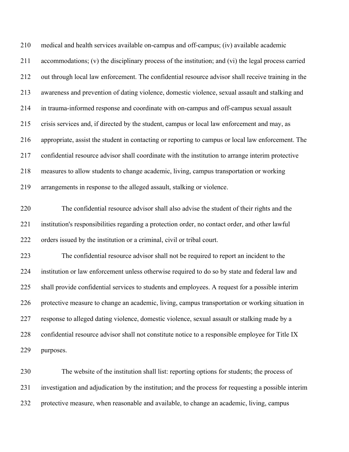medical and health services available on-campus and off-campus; (iv) available academic accommodations; (v) the disciplinary process of the institution; and (vi) the legal process carried out through local law enforcement. The confidential resource advisor shall receive training in the awareness and prevention of dating violence, domestic violence, sexual assault and stalking and in trauma-informed response and coordinate with on-campus and off-campus sexual assault crisis services and, if directed by the student, campus or local law enforcement and may, as appropriate, assist the student in contacting or reporting to campus or local law enforcement. The confidential resource advisor shall coordinate with the institution to arrange interim protective measures to allow students to change academic, living, campus transportation or working arrangements in response to the alleged assault, stalking or violence. The confidential resource advisor shall also advise the student of their rights and the institution's responsibilities regarding a protection order, no contact order, and other lawful orders issued by the institution or a criminal, civil or tribal court. The confidential resource advisor shall not be required to report an incident to the institution or law enforcement unless otherwise required to do so by state and federal law and shall provide confidential services to students and employees. A request for a possible interim protective measure to change an academic, living, campus transportation or working situation in response to alleged dating violence, domestic violence, sexual assault or stalking made by a confidential resource advisor shall not constitute notice to a responsible employee for Title IX purposes.

 The website of the institution shall list: reporting options for students; the process of investigation and adjudication by the institution; and the process for requesting a possible interim protective measure, when reasonable and available, to change an academic, living, campus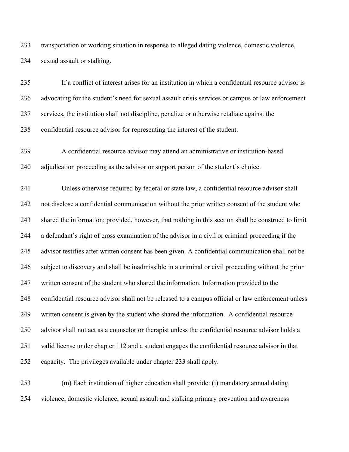transportation or working situation in response to alleged dating violence, domestic violence, sexual assault or stalking.

 If a conflict of interest arises for an institution in which a confidential resource advisor is advocating for the student's need for sexual assault crisis services or campus or law enforcement services, the institution shall not discipline, penalize or otherwise retaliate against the confidential resource advisor for representing the interest of the student.

 A confidential resource advisor may attend an administrative or institution-based adjudication proceeding as the advisor or support person of the student's choice.

 Unless otherwise required by federal or state law, a confidential resource advisor shall not disclose a confidential communication without the prior written consent of the student who shared the information; provided, however, that nothing in this section shall be construed to limit a defendant's right of cross examination of the advisor in a civil or criminal proceeding if the advisor testifies after written consent has been given. A confidential communication shall not be subject to discovery and shall be inadmissible in a criminal or civil proceeding without the prior written consent of the student who shared the information. Information provided to the confidential resource advisor shall not be released to a campus official or law enforcement unless written consent is given by the student who shared the information. A confidential resource advisor shall not act as a counselor or therapist unless the confidential resource advisor holds a valid license under chapter 112 and a student engages the confidential resource advisor in that capacity. The privileges available under chapter 233 shall apply.

 (m) Each institution of higher education shall provide: (i) mandatory annual dating violence, domestic violence, sexual assault and stalking primary prevention and awareness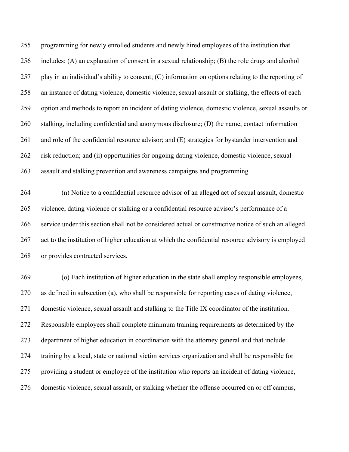programming for newly enrolled students and newly hired employees of the institution that includes: (A) an explanation of consent in a sexual relationship; (B) the role drugs and alcohol play in an individual's ability to consent; (C) information on options relating to the reporting of an instance of dating violence, domestic violence, sexual assault or stalking, the effects of each option and methods to report an incident of dating violence, domestic violence, sexual assaults or stalking, including confidential and anonymous disclosure; (D) the name, contact information and role of the confidential resource advisor; and (E) strategies for bystander intervention and risk reduction; and (ii) opportunities for ongoing dating violence, domestic violence, sexual assault and stalking prevention and awareness campaigns and programming.

 (n) Notice to a confidential resource advisor of an alleged act of sexual assault, domestic violence, dating violence or stalking or a confidential resource advisor's performance of a service under this section shall not be considered actual or constructive notice of such an alleged act to the institution of higher education at which the confidential resource advisory is employed or provides contracted services.

 (o) Each institution of higher education in the state shall employ responsible employees, as defined in subsection (a), who shall be responsible for reporting cases of dating violence, domestic violence, sexual assault and stalking to the Title IX coordinator of the institution. Responsible employees shall complete minimum training requirements as determined by the department of higher education in coordination with the attorney general and that include training by a local, state or national victim services organization and shall be responsible for providing a student or employee of the institution who reports an incident of dating violence, domestic violence, sexual assault, or stalking whether the offense occurred on or off campus,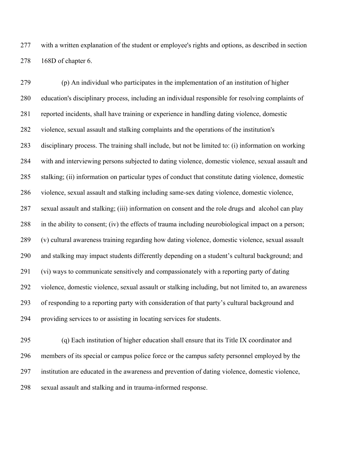with a written explanation of the student or employee's rights and options, as described in section 168D of chapter 6.

 (p) An individual who participates in the implementation of an institution of higher education's disciplinary process, including an individual responsible for resolving complaints of reported incidents, shall have training or experience in handling dating violence, domestic violence, sexual assault and stalking complaints and the operations of the institution's disciplinary process. The training shall include, but not be limited to: (i) information on working with and interviewing persons subjected to dating violence, domestic violence, sexual assault and stalking; (ii) information on particular types of conduct that constitute dating violence, domestic violence, sexual assault and stalking including same-sex dating violence, domestic violence, sexual assault and stalking; (iii) information on consent and the role drugs and alcohol can play in the ability to consent; (iv) the effects of trauma including neurobiological impact on a person; (v) cultural awareness training regarding how dating violence, domestic violence, sexual assault and stalking may impact students differently depending on a student's cultural background; and (vi) ways to communicate sensitively and compassionately with a reporting party of dating violence, domestic violence, sexual assault or stalking including, but not limited to, an awareness of responding to a reporting party with consideration of that party's cultural background and providing services to or assisting in locating services for students.

 (q) Each institution of higher education shall ensure that its Title IX coordinator and members of its special or campus police force or the campus safety personnel employed by the institution are educated in the awareness and prevention of dating violence, domestic violence, sexual assault and stalking and in trauma-informed response.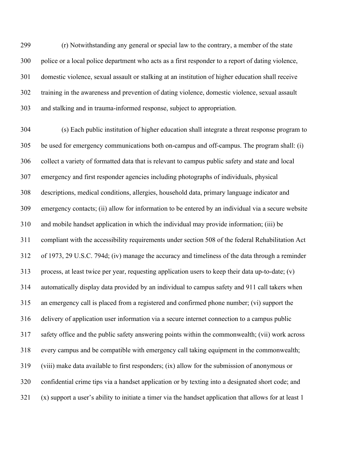(r) Notwithstanding any general or special law to the contrary, a member of the state police or a local police department who acts as a first responder to a report of dating violence, domestic violence, sexual assault or stalking at an institution of higher education shall receive training in the awareness and prevention of dating violence, domestic violence, sexual assault and stalking and in trauma-informed response, subject to appropriation.

 (s) Each public institution of higher education shall integrate a threat response program to be used for emergency communications both on-campus and off-campus. The program shall: (i) collect a variety of formatted data that is relevant to campus public safety and state and local emergency and first responder agencies including photographs of individuals, physical descriptions, medical conditions, allergies, household data, primary language indicator and emergency contacts; (ii) allow for information to be entered by an individual via a secure website and mobile handset application in which the individual may provide information; (iii) be compliant with the accessibility requirements under section 508 of the federal Rehabilitation Act of 1973, 29 U.S.C. 794d; (iv) manage the accuracy and timeliness of the data through a reminder process, at least twice per year, requesting application users to keep their data up-to-date; (v) automatically display data provided by an individual to campus safety and 911 call takers when an emergency call is placed from a registered and confirmed phone number; (vi) support the delivery of application user information via a secure internet connection to a campus public safety office and the public safety answering points within the commonwealth; (vii) work across every campus and be compatible with emergency call taking equipment in the commonwealth; (viii) make data available to first responders; (ix) allow for the submission of anonymous or confidential crime tips via a handset application or by texting into a designated short code; and (x) support a user's ability to initiate a timer via the handset application that allows for at least 1